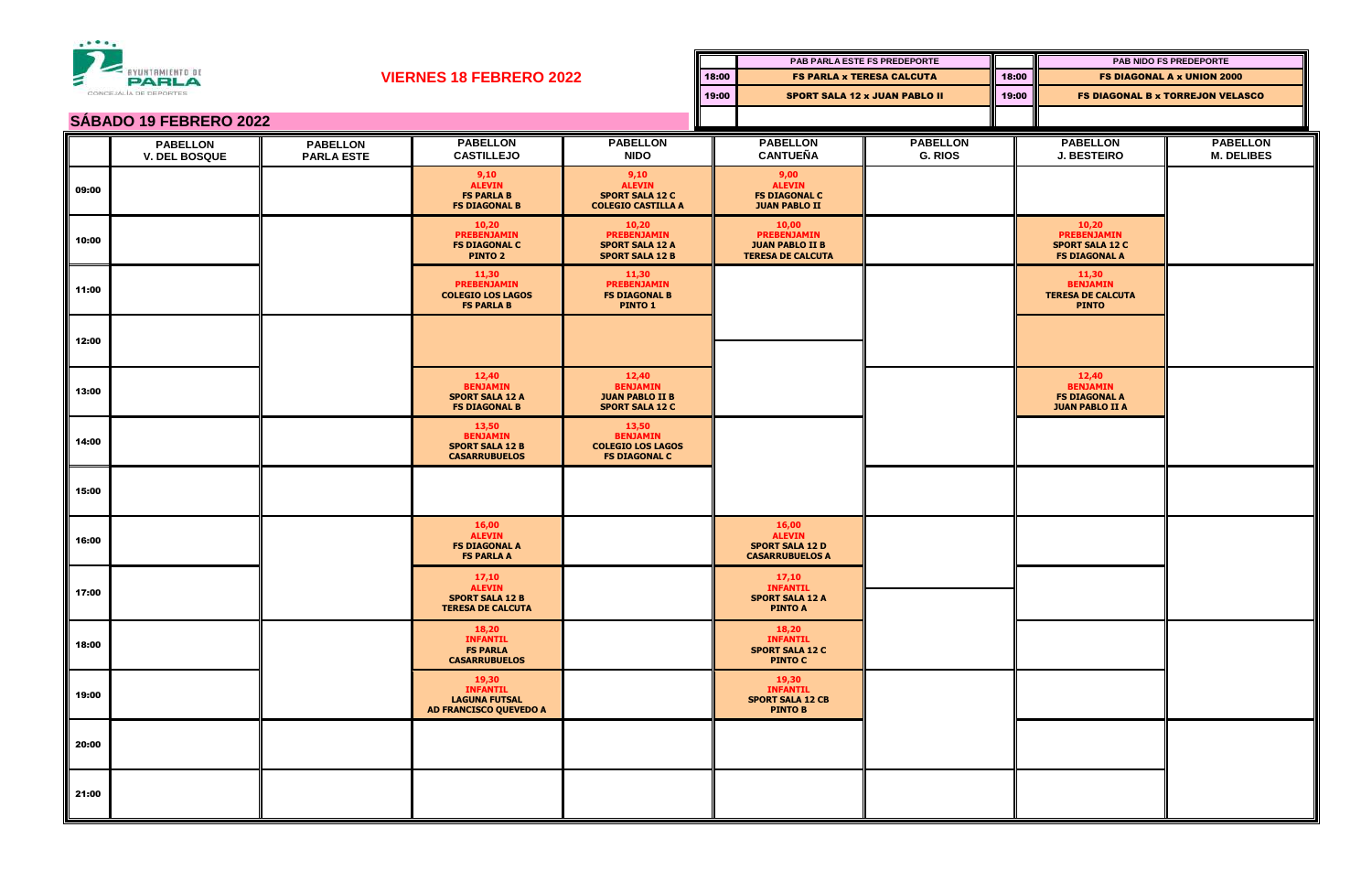

| <b>AYUNTAMIENTO DE</b><br>Ξ<br><b>PARLA</b> |                                         |                                      |                                                                              |                                                                                 |       |                                                                                   | PAB PARLA ESTE FS PREDEPORTE |       |                                                                               | PAB NIDO FS PREDEPORTE                  |  |
|---------------------------------------------|-----------------------------------------|--------------------------------------|------------------------------------------------------------------------------|---------------------------------------------------------------------------------|-------|-----------------------------------------------------------------------------------|------------------------------|-------|-------------------------------------------------------------------------------|-----------------------------------------|--|
|                                             |                                         |                                      | <b>VIERNES 18 FEBRERO 2022</b>                                               |                                                                                 | 18:00 | <b>FS PARLA x TERESA CALCUTA</b>                                                  |                              | 18:00 | <b>FS DIAGONAL A x UNION 2000</b>                                             |                                         |  |
|                                             | CONCEJALIA DE DEPORTES                  |                                      |                                                                              |                                                                                 |       | 19:00<br><b>SPORT SALA 12 x JUAN PABLO II</b>                                     |                              | 19:00 |                                                                               | <b>FS DIAGONAL B x TORREJON VELASCO</b> |  |
| <b>SÁBADO 19 FEBRERO 2022</b>               |                                         |                                      |                                                                              |                                                                                 |       |                                                                                   |                              |       |                                                                               |                                         |  |
|                                             | <b>PABELLON</b><br><b>V. DEL BOSQUE</b> | <b>PABELLON</b><br><b>PARLA ESTE</b> | <b>PABELLON</b><br><b>CASTILLEJO</b>                                         | <b>PABELLON</b><br><b>NIDO</b>                                                  |       | <b>PABELLON</b><br><b>CANTUEÑA</b>                                                | <b>PABELLON</b><br>G. RIOS   |       | <b>PABELLON</b><br><b>J. BESTEIRO</b>                                         | <b>PABELLON</b><br><b>M. DELIBES</b>    |  |
| 09:00                                       |                                         |                                      | 9,10<br><b>ALEVIN</b><br><b>FS PARLA B</b><br><b>FS DIAGONAL B</b>           | 9,10<br><b>ALEVIN</b><br><b>SPORT SALA 12 C</b><br><b>COLEGIO CASTILLA A</b>    |       | 9,00<br><b>ALEVIN</b><br><b>FS DIAGONAL C</b><br><b>JUAN PABLO II</b>             |                              |       |                                                                               |                                         |  |
| 10:00                                       |                                         |                                      | 10,20<br><b>PREBENJAMIN</b><br><b>FS DIAGONAL C</b><br><b>PINTO 2</b>        | 10,20<br><b>PREBENJAMIN</b><br><b>SPORT SALA 12 A</b><br><b>SPORT SALA 12 B</b> |       | 10,00<br><b>PREBENJAMIN</b><br><b>JUAN PABLO II B</b><br><b>TERESA DE CALCUTA</b> |                              |       | 10,20<br><b>PREBENJAMIN</b><br><b>SPORT SALA 12 C</b><br><b>FS DIAGONAL A</b> |                                         |  |
| 11:00                                       |                                         |                                      | 11,30<br><b>PREBENJAMIN</b><br><b>COLEGIO LOS LAGOS</b><br><b>FS PARLA B</b> | 11,30<br><b>PREBENJAMIN</b><br><b>FS DIAGONAL B</b><br><b>PINTO 1</b>           |       |                                                                                   |                              |       | 11,30<br><b>BENJAMIN</b><br><b>TERESA DE CALCUTA</b><br><b>PINTO</b>          |                                         |  |
| 12:00                                       |                                         |                                      |                                                                              |                                                                                 |       |                                                                                   |                              |       |                                                                               |                                         |  |
| 13:00                                       |                                         |                                      | 12,40<br><b>BENJAMIN</b><br><b>SPORT SALA 12 A</b><br><b>FS DIAGONAL B</b>   | 12,40<br><b>BENJAMIN</b><br><b>JUAN PABLO II B</b><br><b>SPORT SALA 12 C</b>    |       |                                                                                   |                              |       | 12,40<br><b>BENJAMIN</b><br><b>FS DIAGONAL A</b><br><b>JUAN PABLO II A</b>    |                                         |  |
| 14:00                                       |                                         |                                      | 13,50<br><b>BENJAMIN</b><br><b>SPORT SALA 12 B</b><br><b>CASARRUBUELOS</b>   | 13,50<br><b>BENJAMIN</b><br><b>COLEGIO LOS LAGOS</b><br><b>FS DIAGONAL C</b>    |       |                                                                                   |                              |       |                                                                               |                                         |  |
| 15:00                                       |                                         |                                      |                                                                              |                                                                                 |       |                                                                                   |                              |       |                                                                               |                                         |  |
| 16:00                                       |                                         |                                      | 16,00<br><b>ALEVIN</b><br><b>FS DIAGONAL A</b><br><b>FS PARLA A</b>          |                                                                                 |       | 16,00<br><b>ALEVIN</b><br><b>SPORT SALA 12 D</b><br><b>CASARRUBUELOS A</b>        |                              |       |                                                                               |                                         |  |
| 17:00                                       |                                         |                                      | 17,10<br><b>ALEVIN</b><br><b>SPORT SALA 12 B</b><br><b>TERESA DE CALCUTA</b> |                                                                                 |       | 17,10<br><b>INFANTIL</b><br><b>SPORT SALA 12 A</b><br><b>PINTO A</b>              |                              |       |                                                                               |                                         |  |
| 18:00                                       |                                         |                                      | 18,20<br><b>INFANTIL</b><br><b>FS PARLA</b><br><b>CASARRUBUELOS</b>          |                                                                                 |       | 18,20<br><b>INFANTIL</b><br><b>SPORT SALA 12 C</b><br><b>PINTO C</b>              |                              |       |                                                                               |                                         |  |
| 19:00                                       |                                         |                                      | 19,30<br><b>INFANTIL</b><br><b>LAGUNA FUTSAL</b><br>AD FRANCISCO QUEVEDO A   |                                                                                 |       | 19,30<br><b>INFANTIL</b><br><b>SPORT SALA 12 CB</b><br><b>PINTO B</b>             |                              |       |                                                                               |                                         |  |
| 20:00                                       |                                         |                                      |                                                                              |                                                                                 |       |                                                                                   |                              |       |                                                                               |                                         |  |
| 21:00                                       |                                         |                                      |                                                                              |                                                                                 |       |                                                                                   |                              |       |                                                                               |                                         |  |